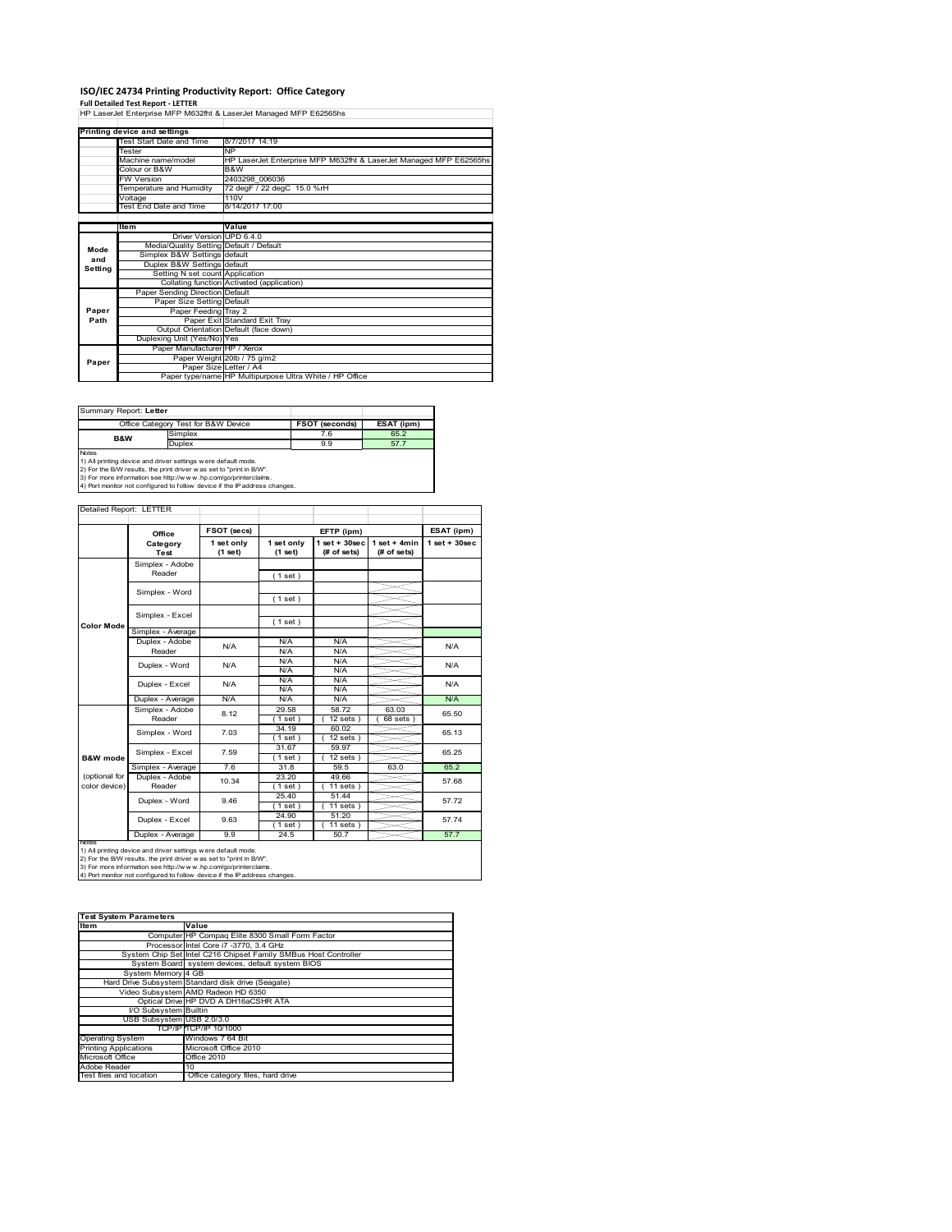# **ISO/IEC 24734 Printing Productivity Report: Office Category Full Detailed Test Report ‐ LETTER** HP LaserJet Enterprise MFP M632fht & LaserJet Managed MFP E62565hs

|         | Printing device and settings            |                                                                    |
|---------|-----------------------------------------|--------------------------------------------------------------------|
|         | <b>Test Start Date and Time</b>         | 8/7/2017 14:19                                                     |
|         | Tester                                  | <b>NP</b>                                                          |
|         | Machine name/model                      | HP LaserJet Enterprise MFP M632fht & LaserJet Managed MFP E62565hs |
|         | Colour or B&W                           | B&W                                                                |
|         | <b>FW Version</b>                       | 2403298 006036                                                     |
|         | Temperature and Humidity                | 72 degF / 22 degC 15.0 %rH                                         |
|         | Voltage                                 | 110V                                                               |
|         | Test End Date and Time                  | 8/14/2017 17:00                                                    |
|         |                                         |                                                                    |
|         | Item                                    | Value                                                              |
|         | Driver Version UPD 6.4.0                |                                                                    |
| Mode    | Media/Quality Setting Default / Default |                                                                    |
| and     | Simplex B&W Settings default            |                                                                    |
| Setting | Duplex B&W Settings default             |                                                                    |
|         | Setting N set count Application         |                                                                    |
|         |                                         | Collating function Activated (application)                         |
|         | Paper Sending Direction Default         |                                                                    |
|         | Paper Size Setting Default              |                                                                    |
| Paper   | Paper Feeding Tray 2                    |                                                                    |
| Path    |                                         | Paper Exit Standard Exit Tray                                      |
|         |                                         | Output Orientation Default (face down)                             |
|         | Duplexing Unit (Yes/No) Yes             |                                                                    |
|         | Paper Manufacturer HP / Xerox           |                                                                    |
| Paper   |                                         | Paper Weight 20lb / 75 g/m2                                        |
|         | Paper Size Letter / A4                  |                                                                    |
|         |                                         | Paper type/name HP Multipurpose Ultra White / HP Office            |

Summary Report: **Letter**

|                | Office Category Test for B&W Device                           | <b>FSOT (seconds)</b> | ESAT (ipm) |
|----------------|---------------------------------------------------------------|-----------------------|------------|
| <b>B&amp;W</b> | Simplex                                                       | 7.6                   | 65.2       |
|                | Duplex                                                        | 9.9                   | 57.7       |
| <b>Notes</b>   |                                                               |                       |            |
|                | 1) All printing device and driver settings were default mode. |                       |            |

T

1) All printing device and driver settings were default mode.<br>2) For the B/W results, the print driver was set to "print in B/W".<br>3) For more information see http://www.hp.com/go/printerclaims.<br>4) Port monitor not configur

#### Detailed Report: LETTER

|                   | Office                    |                       |                       |                                   |                                |                    |  |
|-------------------|---------------------------|-----------------------|-----------------------|-----------------------------------|--------------------------------|--------------------|--|
|                   |                           | FSOT (secs)           |                       | EFTP (ipm)                        |                                | ESAT (ipm)         |  |
|                   | Category<br><b>Test</b>   | 1 set only<br>(1 set) | 1 set only<br>(1 set) | $1$ set + $30$ sec<br>(# of sets) | $1 set + 4 min$<br>(# of sets) | $1$ set + $30$ sec |  |
|                   |                           |                       |                       |                                   |                                |                    |  |
|                   | Simplex - Adobe<br>Reader |                       | (1 set)               |                                   |                                |                    |  |
|                   |                           |                       |                       |                                   |                                |                    |  |
|                   | Simplex - Word            |                       | (1 set)               |                                   |                                |                    |  |
|                   |                           |                       |                       |                                   |                                |                    |  |
| <b>Color Mode</b> | Simplex - Excel           |                       | (1 set)               |                                   |                                |                    |  |
|                   | Simplex - Average         |                       |                       |                                   |                                |                    |  |
|                   | Duplex - Adobe            | N/A                   | N/A                   | N/A                               |                                | N/A                |  |
|                   | Reader                    |                       | N/A                   | N/A                               |                                |                    |  |
|                   | Duplex - Word             | N/A                   | N/A                   | N/A                               |                                | N/A<br>N/A         |  |
|                   |                           |                       | N/A                   | N/A                               |                                |                    |  |
|                   | Duplex - Excel            | N/A                   | N/A                   | N/A                               |                                |                    |  |
|                   |                           |                       | N/A                   | N/A                               |                                |                    |  |
|                   | Duplex - Average          | N/A                   | N/A                   | N/A                               |                                | N/A                |  |
|                   | Simplex - Adobe           | 8.12                  | 29.58                 | 58.72                             | 63.03                          | 65.50              |  |
|                   | Reader                    |                       | $1$ set)              | $12$ sets $)$                     | $68$ sets $)$                  |                    |  |
|                   | Simplex - Word            | 7.03                  | 34.19                 | 60.02                             |                                | 65.13              |  |
|                   |                           |                       | $1$ set)              | $12$ sets $)$                     |                                |                    |  |
|                   | Simplex - Excel           | 7.59                  | 31.67                 | 59.97                             |                                | 65.25              |  |
| B&W mode          |                           |                       | $1$ set $)$           | $12$ sets $)$                     |                                |                    |  |
|                   | Simplex - Average         | 7.6                   | 31.8                  | 59.5                              | 63.0                           | 65.2               |  |
| (optional for     | Duplex - Adobe            | 10.34                 | 23.20                 | 49.66                             |                                | 57.68              |  |
| color device)     | Reader                    |                       | $1$ set)              | $11$ sets $)$                     |                                |                    |  |
|                   | Duplex - Word             | 9.46                  | 25.40                 | 51.44                             |                                | 57.72              |  |
|                   |                           |                       | $1$ set)              | $11$ sets $)$                     |                                |                    |  |
|                   | Duplex - Excel            | 9.63                  | 24.90                 | 51.20                             |                                | 57.74              |  |
|                   |                           |                       | $1$ set)              | $11$ sets $)$                     |                                |                    |  |
|                   | Duplex - Average          | 9.9                   | 24.5                  | 50.7                              |                                | 57.7               |  |

Ī

| <b>Test System Parameters</b> |              |  |  |  |
|-------------------------------|--------------|--|--|--|
| <b>Item</b>                   | <b>Value</b> |  |  |  |

| Item                         | Value                                                           |
|------------------------------|-----------------------------------------------------------------|
|                              | Computer HP Compaq Elite 8300 Small Form Factor                 |
|                              | Processor Intel Core i7 -3770, 3.4 GHz                          |
|                              | System Chip Set Intel C216 Chipset Family SMBus Host Controller |
|                              | System Board system devices, default system BIOS                |
| System Memory 4 GB           |                                                                 |
|                              | Hard Drive Subsystem Standard disk drive (Seagate)              |
|                              | Video Subsystem AMD Radeon HD 6350                              |
|                              | Optical Drive HP DVD A DH16aCSHR ATA                            |
| I/O Subsystem Builtin        |                                                                 |
| USB Subsystem USB 2.0/3.0    |                                                                 |
|                              | TCP/IP TCP/IP 10/1000                                           |
| <b>Operating System</b>      | Windows 7 64 Bit                                                |
| <b>Printing Applications</b> | Microsoft Office 2010                                           |
| Microsoft Office             | Office 2010                                                     |
| Adobe Reader                 | 10                                                              |
| Test files and location      | Office category files, hard drive                               |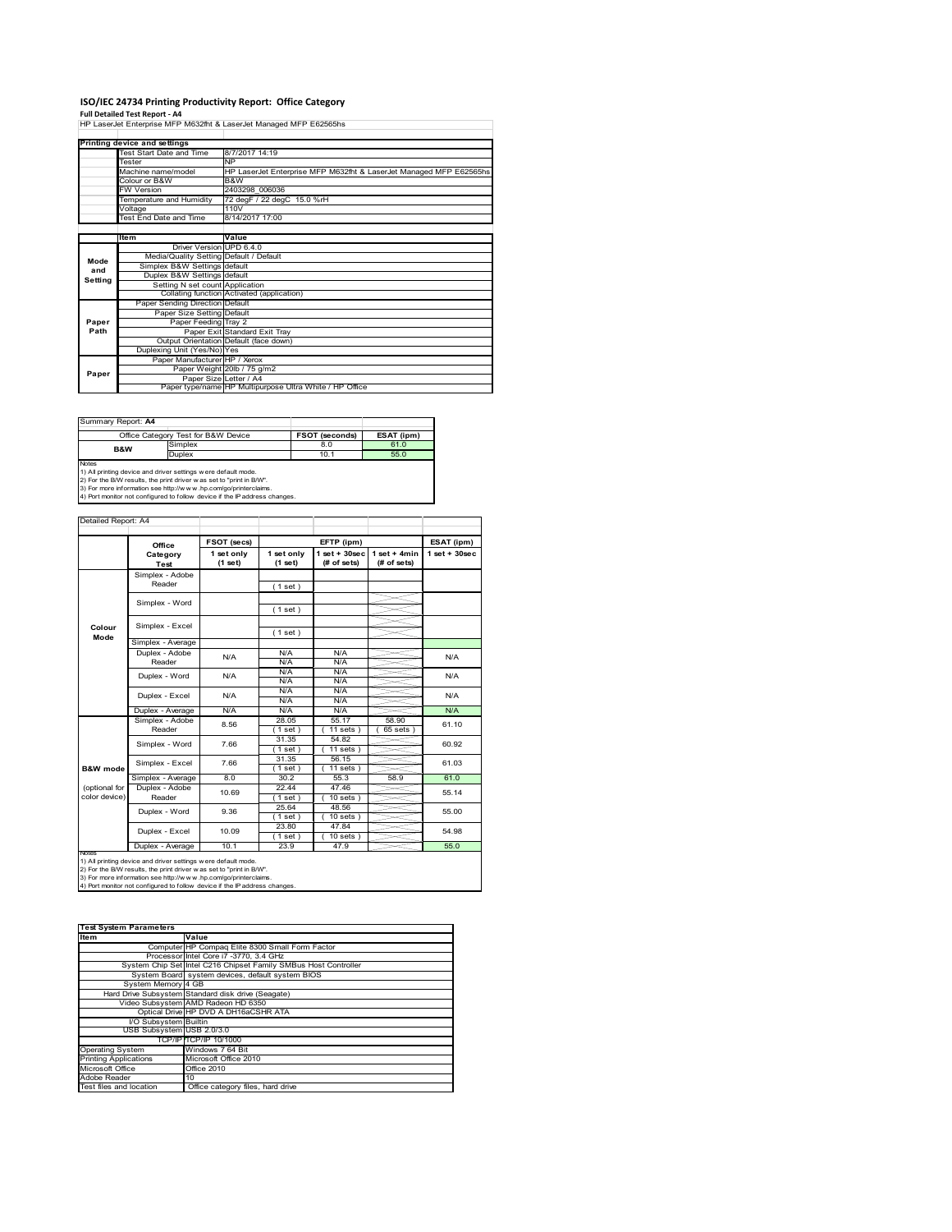### **ISO/IEC 24734 Printing Productivity Report: Office Category**

**Full Detailed Test Report ‐ A4** HP LaserJet Enterprise MFP M632fht & LaserJet Managed MFP E62565hs

|         | Printing device and settings            |                                                                    |
|---------|-----------------------------------------|--------------------------------------------------------------------|
|         | Test Start Date and Time                | 8/7/2017 14:19                                                     |
|         | Tester                                  | <b>NP</b>                                                          |
|         | Machine name/model                      | HP LaserJet Enterprise MFP M632fht & LaserJet Managed MFP E62565hs |
|         | Colour or B&W                           | B&W                                                                |
|         | <b>FW Version</b>                       | 2403298 006036                                                     |
|         | Temperature and Humidity                | 72 degF / 22 degC 15.0 %rH                                         |
|         | Voltage                                 | 110V                                                               |
|         | Test End Date and Time                  | 8/14/2017 17:00                                                    |
|         |                                         |                                                                    |
|         | Item                                    | Value                                                              |
|         | Driver Version UPD 6.4.0                |                                                                    |
| Mode    | Media/Quality Setting Default / Default |                                                                    |
| and     | Simplex B&W Settings default            |                                                                    |
| Setting | Duplex B&W Settings default             |                                                                    |
|         | Setting N set count Application         |                                                                    |
|         |                                         | Collating function Activated (application)                         |
|         | Paper Sending Direction Default         |                                                                    |
|         | Paper Size Setting Default              |                                                                    |
| Paper   | Paper Feeding Tray 2                    |                                                                    |
| Path    |                                         | Paper Exit Standard Exit Tray                                      |
|         |                                         | Output Orientation Default (face down)                             |
|         | Duplexing Unit (Yes/No) Yes             |                                                                    |
|         | Paper Manufacturer HP / Xerox           |                                                                    |
| Paper   |                                         | Paper Weight 20lb / 75 g/m2                                        |
|         | Paper Size Letter / A4                  |                                                                    |
|         |                                         | Paper type/name HP Multipurpose Ultra White / HP Office            |

| Summary Report: A4 |                                     |                       |            |
|--------------------|-------------------------------------|-----------------------|------------|
|                    | Office Category Test for B&W Device | <b>FSOT (seconds)</b> | ESAT (ipm) |
| <b>B&amp;W</b>     | Simplex                             | 8.0                   | 61.0       |
|                    | <b>Duplex</b>                       | 10.1                  | 55.0       |
| Notes              |                                     |                       |            |

Notes<br>1) All printing device and driver settings were default mode.<br>2) For the B/W results, the print driver was set to "print in B/W".<br>3) For more information see http://www.hp.com/go/printerclaims.<br>4) Por more informatio

|                     |                           | <b>FSOT (secs)</b> |                 | EFTP (ipm)            |                 | ESAT (ipm)       |  |
|---------------------|---------------------------|--------------------|-----------------|-----------------------|-----------------|------------------|--|
|                     | Office<br>Category        | 1 set only         | 1 set only      | $1$ set + $30$ sec    | $1 set + 4 min$ | $1$ set + 30 sec |  |
|                     | Test                      | (1 set)            | (1 set)         | (# of sets)           | (# of sets)     |                  |  |
|                     | Simplex - Adobe<br>Reader |                    | (1 set)         |                       |                 |                  |  |
|                     |                           |                    |                 |                       |                 |                  |  |
|                     | Simplex - Word            |                    | (1 set)         |                       |                 |                  |  |
|                     |                           |                    |                 |                       |                 |                  |  |
| Colour              | Simplex - Excel           |                    | (1 set)         |                       |                 |                  |  |
| Mode                | Simplex - Average         |                    |                 |                       |                 |                  |  |
|                     | Duplex - Adobe            |                    | N/A             | N/A                   |                 |                  |  |
|                     | Reader                    | N/A                | N/A             | N/A                   |                 | N/A              |  |
|                     | Duplex - Word             | N/A                | N/A             | N/A                   |                 | N/A              |  |
|                     |                           |                    | N/A             | N/A                   |                 |                  |  |
|                     | Duplex - Excel            | N/A                | N/A             | N/A                   |                 | N/A              |  |
|                     |                           |                    | N/A             | N/A                   |                 |                  |  |
|                     | Duplex - Average          | N/A                | N/A             | N/A                   |                 | N/A              |  |
|                     | Simplex - Adobe           | 8.56               | 28.05           | 55.17                 | 58.90           | 61.10            |  |
|                     | Reader                    |                    | (1 set )        | $11$ sets $)$         | 65 sets         |                  |  |
|                     | Simplex - Word            | 7.66               | 31.35           | 54.82                 |                 | 60.92            |  |
|                     |                           |                    | (1 set)         | $11 sets$ )           |                 |                  |  |
|                     | Simplex - Excel           | 7.66               | 31.35           | 56.15                 |                 | 61.03            |  |
| <b>B&amp;W</b> mode |                           |                    | (1 set)         | $11$ sets $)$         |                 |                  |  |
|                     | Simplex - Average         | 8.0                | 30.2            | 55.3                  | 58.9            | 61.0             |  |
| (optional for       | Duplex - Adobe            | 10.69              | 22.44           | 47.46                 |                 | 55.14            |  |
| color device)       | Reader                    |                    | (1 set)         | $10$ sets $)$         |                 |                  |  |
|                     | Duplex - Word             | 9.36               | 25.64           | 48.56                 |                 | 55.00            |  |
|                     |                           |                    | (1 set)         | $10$ sets $)$         |                 |                  |  |
|                     | Duplex - Excel            | 10.09              | 23.80           | 47.84                 |                 | 54.98            |  |
|                     |                           | 10.1               | (1 set)<br>23.9 | $10$ sets $)$<br>47.9 |                 | 55.0             |  |
| <b>IVOIES</b>       | Duplex - Average          |                    |                 |                       |                 |                  |  |

| <b>Test System Parameters</b> |                                                                 |
|-------------------------------|-----------------------------------------------------------------|
| <b>Item</b>                   | Value                                                           |
|                               | Computer HP Compaq Elite 8300 Small Form Factor                 |
|                               | Processor Intel Core i7 -3770, 3.4 GHz                          |
|                               | System Chip Set Intel C216 Chipset Family SMBus Host Controller |
|                               | System Board system devices, default system BIOS                |
| System Memory 4 GB            |                                                                 |
|                               | Hard Drive Subsystem Standard disk drive (Seagate)              |
|                               | Video Subsystem AMD Radeon HD 6350                              |
|                               | Optical Drive HP DVD A DH16aCSHR ATA                            |
| I/O Subsystem Builtin         |                                                                 |
| USB Subsystem USB 2.0/3.0     |                                                                 |
|                               | TCP/IP TCP/IP 10/1000                                           |
| <b>Operating System</b>       | Windows 7 64 Bit                                                |
| <b>Printing Applications</b>  | Microsoft Office 2010                                           |
| Microsoft Office              | Office 2010                                                     |
| Adobe Reader                  | 10                                                              |
| Test files and location       | Office category files, hard drive                               |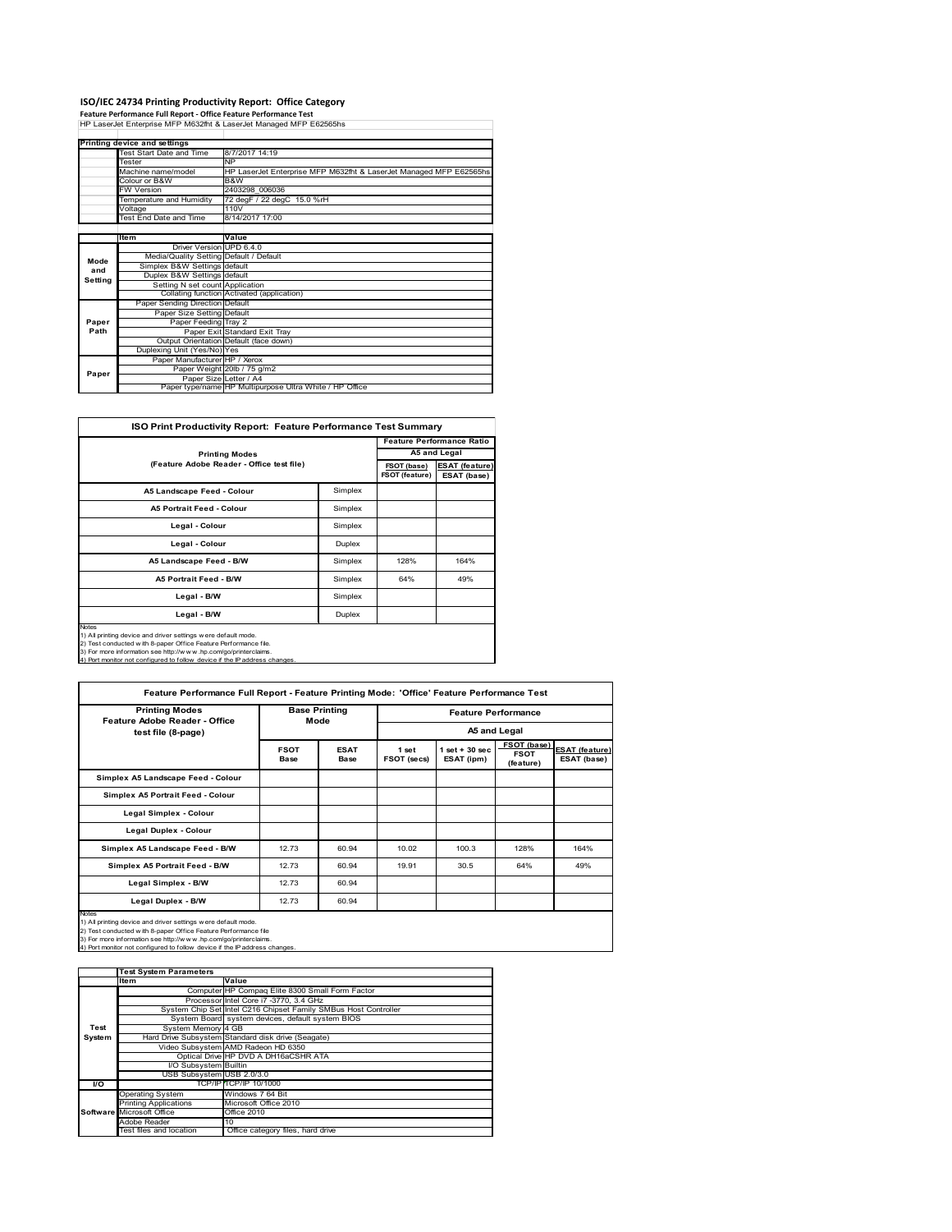# **ISO/IEC 24734 Printing Productivity Report: Office Category Feature Performance Full Report ‐ Office Feature Performance Test** HP LaserJet Enterprise MFP M632fht & LaserJet Managed MFP E62565hs

|         | Printing device and settings            |                                                                    |
|---------|-----------------------------------------|--------------------------------------------------------------------|
|         | Test Start Date and Time                | 8/7/2017 14:19                                                     |
|         | Tester                                  | <b>NP</b>                                                          |
|         | Machine name/model                      | HP LaserJet Enterprise MFP M632fht & LaserJet Managed MFP E62565hs |
|         | Colour or B&W                           | B&W                                                                |
|         | <b>FW Version</b>                       | 2403298 006036                                                     |
|         | Temperature and Humidity                | 72 degF / 22 degC 15.0 %rH                                         |
|         | Voltage                                 | 110V                                                               |
|         | Test End Date and Time                  | 8/14/2017 17:00                                                    |
|         |                                         |                                                                    |
|         | Item                                    | Value                                                              |
|         | Driver Version UPD 6.4.0                |                                                                    |
| Mode    | Media/Quality Setting Default / Default |                                                                    |
| and     | Simplex B&W Settings default            |                                                                    |
| Setting | Duplex B&W Settings default             |                                                                    |
|         | Setting N set count Application         |                                                                    |
|         |                                         | Collating function Activated (application)                         |
|         | Paper Sending Direction Default         |                                                                    |
|         | Paper Size Setting Default              |                                                                    |
| Paper   | Paper Feeding Tray 2                    |                                                                    |
| Path    |                                         | Paper Exit Standard Exit Tray                                      |
|         |                                         | Output Orientation Default (face down)                             |
|         | Duplexing Unit (Yes/No) Yes             |                                                                    |
|         | Paper Manufacturer HP / Xerox           |                                                                    |
| Paper   |                                         | Paper Weight 20lb / 75 g/m2                                        |
|         |                                         | Paper Size Letter / A4                                             |
|         |                                         | Paper type/name HP Multipurpose Ultra White / HP Office            |

| <b>ISO Print Productivity Report: Feature Performance Test Summary</b>                                                                                                                                                                                                                            |                                  |                               |                                      |  |
|---------------------------------------------------------------------------------------------------------------------------------------------------------------------------------------------------------------------------------------------------------------------------------------------------|----------------------------------|-------------------------------|--------------------------------------|--|
|                                                                                                                                                                                                                                                                                                   | <b>Feature Performance Ratio</b> |                               |                                      |  |
| <b>Printing Modes</b>                                                                                                                                                                                                                                                                             |                                  |                               |                                      |  |
| (Feature Adobe Reader - Office test file)                                                                                                                                                                                                                                                         |                                  | FSOT (base)<br>FSOT (feature) | <b>ESAT (feature)</b><br>ESAT (base) |  |
| A5 Landscape Feed - Colour                                                                                                                                                                                                                                                                        | Simplex                          |                               |                                      |  |
| <b>A5 Portrait Feed - Colour</b>                                                                                                                                                                                                                                                                  | Simplex                          |                               |                                      |  |
| Legal - Colour                                                                                                                                                                                                                                                                                    | Simplex                          |                               |                                      |  |
| Legal - Colour                                                                                                                                                                                                                                                                                    | Duplex                           |                               |                                      |  |
| A5 Landscape Feed - B/W                                                                                                                                                                                                                                                                           | Simplex                          | 128%                          | 164%                                 |  |
| <b>A5 Portrait Feed - B/W</b>                                                                                                                                                                                                                                                                     | Simplex                          | 64%                           | 49%                                  |  |
| Legal - B/W                                                                                                                                                                                                                                                                                       | Simplex                          |                               |                                      |  |
| Legal - B/W                                                                                                                                                                                                                                                                                       | Duplex                           |                               |                                      |  |
| <b>Notes</b><br>1) All printing device and driver settings were default mode.<br>2) Test conducted with 8-paper Office Feature Performance file.<br>3) For more information see http://www.hp.com/go/printerclaims.<br>4) Port monitor not configured to follow device if the IP address changes. |                                  |                               |                                      |  |

| <b>Printing Modes</b><br>Feature Adobe Reader - Office | <b>Base Printing</b><br>Mode |                            |                      | <b>Feature Performance</b>      |                                         |                                      |  |
|--------------------------------------------------------|------------------------------|----------------------------|----------------------|---------------------------------|-----------------------------------------|--------------------------------------|--|
| test file (8-page)                                     |                              |                            |                      |                                 | A5 and Legal                            |                                      |  |
|                                                        | <b>FSOT</b><br>Base          | <b>ESAT</b><br><b>Base</b> | 1 set<br>FSOT (secs) | $1$ set $+30$ sec<br>ESAT (ipm) | FSOT (base)<br><b>FSOT</b><br>(feature) | <b>ESAT</b> (feature)<br>ESAT (base) |  |
| Simplex A5 Landscape Feed - Colour                     |                              |                            |                      |                                 |                                         |                                      |  |
| Simplex A5 Portrait Feed - Colour                      |                              |                            |                      |                                 |                                         |                                      |  |
| Legal Simplex - Colour                                 |                              |                            |                      |                                 |                                         |                                      |  |
| Legal Duplex - Colour                                  |                              |                            |                      |                                 |                                         |                                      |  |
| Simplex A5 Landscape Feed - B/W                        | 12.73                        | 60.94                      | 10.02                | 100.3                           | 128%                                    | 164%                                 |  |
| Simplex A5 Portrait Feed - B/W                         | 12.73                        | 60.94                      | 19.91                | 30.5                            | 64%                                     | 49%                                  |  |
| Legal Simplex - B/W                                    | 12.73                        | 60.94                      |                      |                                 |                                         |                                      |  |
| Legal Duplex - B/W                                     | 12.73                        | 60.94                      |                      |                                 |                                         |                                      |  |

3) For more information see http://w w w .hp.com/go/printerclaims. 4) Port monitor not configured to follow device if the IP address changes.

|        | <b>Test System Parameters</b> |                                                                 |  |  |  |  |
|--------|-------------------------------|-----------------------------------------------------------------|--|--|--|--|
|        | <b>Item</b>                   | Value                                                           |  |  |  |  |
|        |                               | Computer HP Compaq Elite 8300 Small Form Factor                 |  |  |  |  |
|        |                               | Processor Intel Core i7 -3770, 3.4 GHz                          |  |  |  |  |
|        |                               | System Chip Set Intel C216 Chipset Family SMBus Host Controller |  |  |  |  |
|        |                               | System Board system devices, default system BIOS                |  |  |  |  |
| Test   | System Memory 4 GB            |                                                                 |  |  |  |  |
| System |                               | Hard Drive Subsystem Standard disk drive (Seagate)              |  |  |  |  |
|        |                               | Video Subsystem AMD Radeon HD 6350                              |  |  |  |  |
|        |                               | Optical Drive HP DVD A DH16aCSHR ATA                            |  |  |  |  |
|        | I/O Subsystem Builtin         |                                                                 |  |  |  |  |
|        | USB Subsystem USB 2.0/3.0     |                                                                 |  |  |  |  |
| I/O    |                               | TCP/IP TCP/IP 10/1000                                           |  |  |  |  |
|        | <b>Operating System</b>       | Windows 7 64 Bit                                                |  |  |  |  |
|        | <b>Printing Applications</b>  | Microsoft Office 2010                                           |  |  |  |  |
|        | Software Microsoft Office     | <b>Office 2010</b>                                              |  |  |  |  |
|        | Adobe Reader                  | 10                                                              |  |  |  |  |
|        | Test files and location       | Office category files, hard drive                               |  |  |  |  |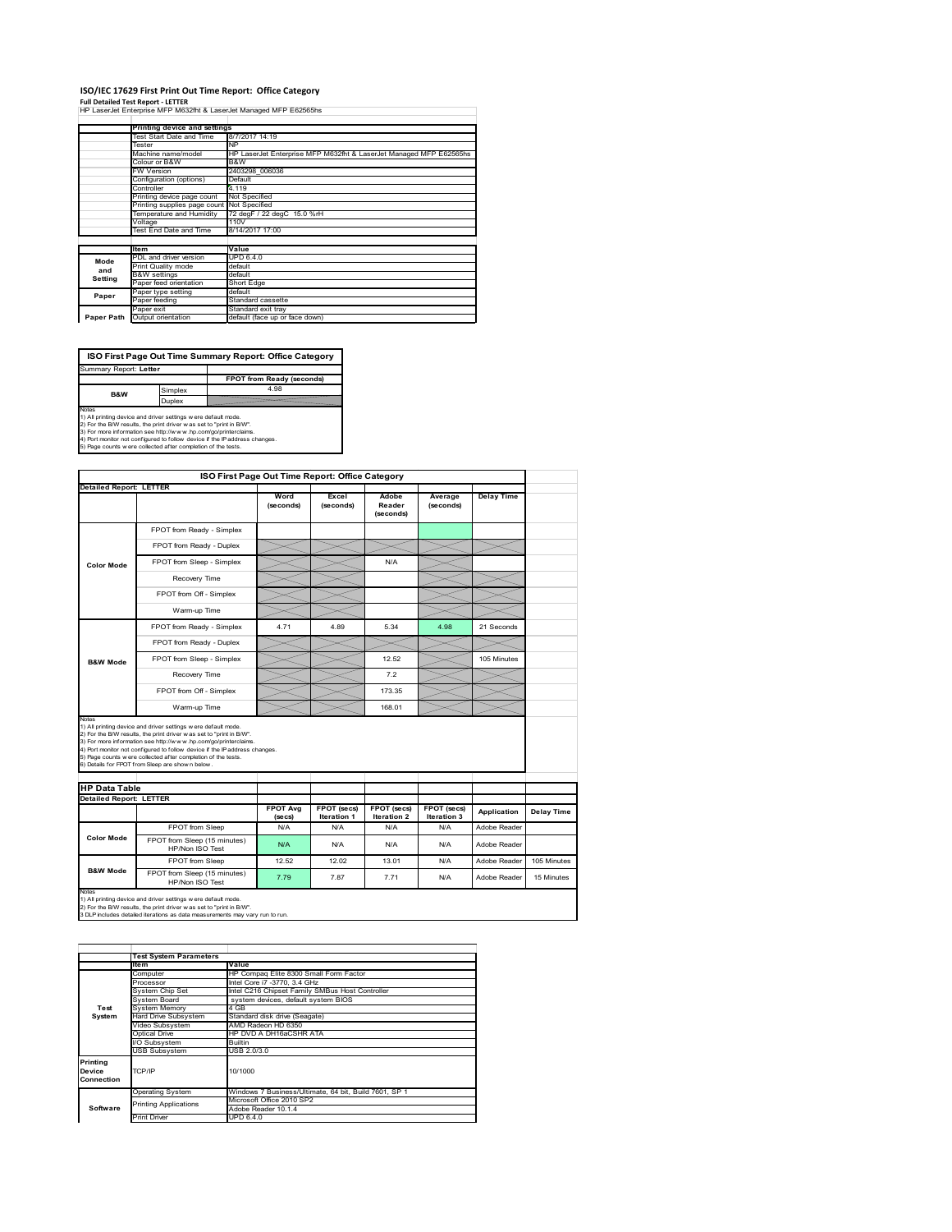#### **ISO/IEC 17629 First Print Out Time Report: Office Category**

**Full Detailed Test Report ‐ LETTER** HP LaserJet Enterprise MFP M632fht & LaserJet Managed MFP E62565hs

|            | Printing device and settings |                                                                    |
|------------|------------------------------|--------------------------------------------------------------------|
|            | Test Start Date and Time     | 8/7/2017 14:19                                                     |
|            | Tester                       | <b>NP</b>                                                          |
|            | Machine name/model           | HP LaserJet Enterprise MFP M632fht & LaserJet Managed MFP E62565hs |
|            | Colour or B&W                | B&W                                                                |
|            | FW Version                   | 2403298 006036                                                     |
|            | Configuration (options)      | Default                                                            |
|            | Controller                   | 4.119                                                              |
|            | Printing device page count   | Not Specified                                                      |
|            | Printing supplies page count | Not Specified                                                      |
|            | Temperature and Humidity     | 72 degF / 22 degC 15.0 %rH                                         |
|            | Voltage                      | 110V                                                               |
|            | Test End Date and Time       | 8/14/2017 17:00                                                    |
|            |                              |                                                                    |
|            | <b>Item</b>                  | Value                                                              |
| Mode       | PDL and driver version       | <b>UPD 6.4.0</b>                                                   |
| and        | Print Quality mode           | default                                                            |
| Setting    | <b>B&amp;W</b> settings      | default                                                            |
|            | Paper feed orientation       | Short Edge                                                         |
| Paper      | Paper type setting           | default                                                            |
|            | Paper feeding                | Standard cassette                                                  |
|            | Paper exit                   | Standard exit tray                                                 |
| Paper Path | Output orientation           | default (face up or face down)                                     |
|            |                              |                                                                    |

**ISO First Page Out Time Summary Report: Office Category**

**FPOT from Ready (seconds)** Simplex **Duplex**<br>
Notes<br>
1) All printing device and driver settings were default mode.<br>
2) For the BM reaults, the print driver was set to "print in BM".<br>
3) For more information see http://www.hp.com/golprinterclaims.<br>
4) Port mo Summary Report: **Letter B&W**

|                                |                                                                                                                                                                                                                                                                                                                                                                                                             | ISO First Page Out Time Report: Office Category |                                   |                              |                            |                   |             |
|--------------------------------|-------------------------------------------------------------------------------------------------------------------------------------------------------------------------------------------------------------------------------------------------------------------------------------------------------------------------------------------------------------------------------------------------------------|-------------------------------------------------|-----------------------------------|------------------------------|----------------------------|-------------------|-------------|
| <b>Detailed Report: LETTER</b> |                                                                                                                                                                                                                                                                                                                                                                                                             |                                                 |                                   |                              |                            |                   |             |
|                                |                                                                                                                                                                                                                                                                                                                                                                                                             | Word<br>(seconds)                               | Excel<br>(seconds)                | Adobe<br>Reader<br>(seconds) | Average<br>(seconds)       | <b>Delay Time</b> |             |
|                                | FPOT from Ready - Simplex                                                                                                                                                                                                                                                                                                                                                                                   |                                                 |                                   |                              |                            |                   |             |
|                                | FPOT from Ready - Duplex                                                                                                                                                                                                                                                                                                                                                                                    |                                                 |                                   |                              |                            |                   |             |
| <b>Color Mode</b>              | FPOT from Sleep - Simplex                                                                                                                                                                                                                                                                                                                                                                                   |                                                 |                                   | N/A                          |                            |                   |             |
|                                | Recovery Time                                                                                                                                                                                                                                                                                                                                                                                               |                                                 |                                   |                              |                            |                   |             |
|                                | FPOT from Off - Simplex                                                                                                                                                                                                                                                                                                                                                                                     |                                                 |                                   |                              |                            |                   |             |
|                                | Warm-up Time                                                                                                                                                                                                                                                                                                                                                                                                |                                                 |                                   |                              |                            |                   |             |
|                                | FPOT from Ready - Simplex                                                                                                                                                                                                                                                                                                                                                                                   | 4.71                                            | 4.89                              | 5.34                         | 4.98                       | 21 Seconds        |             |
|                                | FPOT from Ready - Duplex                                                                                                                                                                                                                                                                                                                                                                                    |                                                 |                                   |                              |                            |                   |             |
| <b>B&amp;W Mode</b>            | FPOT from Sleep - Simplex                                                                                                                                                                                                                                                                                                                                                                                   |                                                 |                                   | 12.52                        |                            | 105 Minutes       |             |
|                                |                                                                                                                                                                                                                                                                                                                                                                                                             |                                                 |                                   | 7.2                          |                            |                   |             |
|                                | Recovery Time                                                                                                                                                                                                                                                                                                                                                                                               |                                                 |                                   |                              |                            |                   |             |
|                                | FPOT from Off - Simplex                                                                                                                                                                                                                                                                                                                                                                                     |                                                 |                                   | 173.35                       |                            |                   |             |
| Notes                          | Warm-up Time                                                                                                                                                                                                                                                                                                                                                                                                |                                                 |                                   | 168.01                       |                            |                   |             |
| <b>HP Data Table</b>           | 1) All printing device and driver settings w ere default mode.<br>2) For the B/W results, the print driver was set to "print in B/W".<br>3) For more information see http://www.hp.com/go/printerclaims.<br>4) Port monitor not configured to follow device if the IP address changes.<br>5) Page counts w ere collected after completion of the tests.<br>6) Details for FPOT from Sleep are show n below. |                                                 |                                   |                              |                            |                   |             |
| <b>Detailed Report: LETTER</b> |                                                                                                                                                                                                                                                                                                                                                                                                             |                                                 |                                   |                              |                            |                   |             |
|                                |                                                                                                                                                                                                                                                                                                                                                                                                             | <b>FPOT Avg</b><br>(se cs)                      | FPOT (secs)<br><b>Iteration 1</b> | FPOT (secs)<br>Iteration 2   | FPOT (secs)<br>Iteration 3 | Application       | Delay Time  |
|                                | FPOT from Sleep                                                                                                                                                                                                                                                                                                                                                                                             | N/A                                             | N/A                               | N/A                          | N/A                        | Adobe Reader      |             |
| <b>Color Mode</b>              | FPOT from Sleep (15 minutes)<br>HP/Non ISO Test                                                                                                                                                                                                                                                                                                                                                             | N/A                                             | N/A                               | N/A                          | N/A                        | Adobe Reader      |             |
|                                | FPOT from Sleep                                                                                                                                                                                                                                                                                                                                                                                             | 12.52                                           | 12.02                             | 13.01                        | N/A                        | Adobe Reader      | 105 Minutes |

1) All printing device and driver settings w ere default mode.<br>2) For the B/W results, the print driver w as set to "print in B/W".<br>3 DLP includes detailed iterations as data measurements may vary run to run.

1tem Value<br>Computer HP Compaq Elite 8300 Small Form Factor<br>Processor Intel Core i7 -3770, 3.4 GHz<br>System Chip Set Intel C2fe Chipset Family SMBus Host Controller<br>System Board system devices, default system BIOS ystem Onip Oct<br>ystem Board<br>ard Drive Subsystem<br>ideo Subsystem Hard Drive Subsystem Standard disk drive (Seagate) Video Subsystem AMD Radeon HD 6350 Optical Drive HP DVD A DH16aCSHR ATA Subsystem Builtin USB Subsystem USB 2.0/3.0 Operating System Windows 7 Business/Ultimate, 64 bit, Build 7601, SP 1 Microsoft Office 2010 SP2 Adobe Reader 10.1.4 Print Driver UPD 6.4.0 **Test System Software Test System Para Printing Device Connection** TCP/IP 10/1000 inting Applications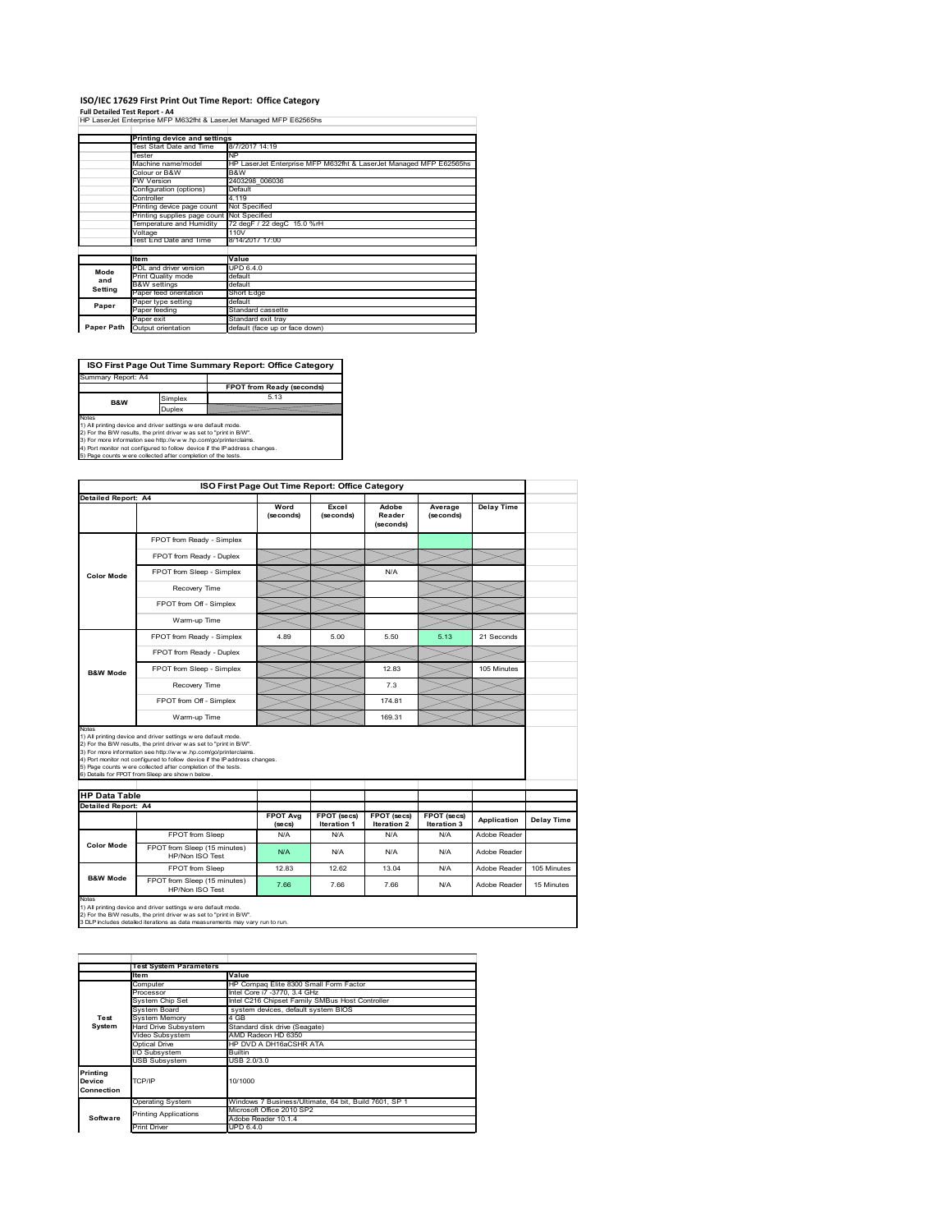### **ISO/IEC 17629 First Print Out Time Report: Office Category**

**Full Detailed Test Report ‐ A4** HP LaserJet Enterprise MFP M632fht & LaserJet Managed MFP E62565hs

|            | Printing device and settings |                                                                    |  |  |  |  |
|------------|------------------------------|--------------------------------------------------------------------|--|--|--|--|
|            | Test Start Date and Time     | 8/7/2017 14:19                                                     |  |  |  |  |
|            | Tester                       | <b>NP</b>                                                          |  |  |  |  |
|            | Machine name/model           | HP LaserJet Enterprise MFP M632fht & LaserJet Managed MFP E62565hs |  |  |  |  |
|            | Colour or B&W                | B&W                                                                |  |  |  |  |
|            | <b>FW Version</b>            | 2403298 006036                                                     |  |  |  |  |
|            | Configuration (options)      | Default                                                            |  |  |  |  |
|            | Controller                   | 4.119                                                              |  |  |  |  |
|            | Printing device page count   | Not Specified                                                      |  |  |  |  |
|            | Printing supplies page count | Not Specified                                                      |  |  |  |  |
|            | Temperature and Humidity     | 72 degF / 22 degC 15.0 %rH                                         |  |  |  |  |
|            | Voltage                      | 110V                                                               |  |  |  |  |
|            | Test End Date and Time       | 8/14/2017 17:00                                                    |  |  |  |  |
|            |                              |                                                                    |  |  |  |  |
|            | ltem                         | Value                                                              |  |  |  |  |
| Mode       | PDL and driver version       | UPD 6.4.0                                                          |  |  |  |  |
| and        | Print Quality mode           | default                                                            |  |  |  |  |
| Setting    | <b>B&amp;W</b> settings      | default                                                            |  |  |  |  |
|            | Paper feed orientation       | Short Edge                                                         |  |  |  |  |
| Paper      | Paper type setting           | default                                                            |  |  |  |  |
|            | Paper feeding                | Standard cassette                                                  |  |  |  |  |
|            | Paper exit                   | Standard exit tray                                                 |  |  |  |  |
| Paper Path | Output orientation           | default (face up or face down)                                     |  |  |  |  |
|            |                              |                                                                    |  |  |  |  |



|                            | ISO First Page Out Time Report: Office Category                                                                                                                                                                                                                                                                                                                                                            |                            |                                   |                                   |                                   |                   |             |
|----------------------------|------------------------------------------------------------------------------------------------------------------------------------------------------------------------------------------------------------------------------------------------------------------------------------------------------------------------------------------------------------------------------------------------------------|----------------------------|-----------------------------------|-----------------------------------|-----------------------------------|-------------------|-------------|
| Detailed Report: A4        |                                                                                                                                                                                                                                                                                                                                                                                                            |                            |                                   |                                   |                                   |                   |             |
|                            |                                                                                                                                                                                                                                                                                                                                                                                                            | Word<br>(seconds)          | Excel<br>(seconds)                | Adobe<br>Reader<br>(seconds)      | Average<br>(seconds)              | <b>Delay Time</b> |             |
|                            | FPOT from Ready - Simplex                                                                                                                                                                                                                                                                                                                                                                                  |                            |                                   |                                   |                                   |                   |             |
|                            | FPOT from Ready - Duplex                                                                                                                                                                                                                                                                                                                                                                                   |                            |                                   |                                   |                                   |                   |             |
| <b>Color Mode</b>          | FPOT from Sleep - Simplex                                                                                                                                                                                                                                                                                                                                                                                  |                            |                                   | N/A                               |                                   |                   |             |
|                            | Recovery Time                                                                                                                                                                                                                                                                                                                                                                                              |                            |                                   |                                   |                                   |                   |             |
|                            | FPOT from Off - Simplex                                                                                                                                                                                                                                                                                                                                                                                    |                            |                                   |                                   |                                   |                   |             |
|                            | Warm-up Time                                                                                                                                                                                                                                                                                                                                                                                               |                            |                                   |                                   |                                   |                   |             |
|                            | FPOT from Ready - Simplex                                                                                                                                                                                                                                                                                                                                                                                  | 4.89                       | 5.00                              | 5.50                              | 5.13                              | 21 Seconds        |             |
|                            | FPOT from Ready - Duplex                                                                                                                                                                                                                                                                                                                                                                                   |                            |                                   |                                   |                                   |                   |             |
| <b>B&amp;W Mode</b>        | FPOT from Sleep - Simplex                                                                                                                                                                                                                                                                                                                                                                                  |                            |                                   | 1283                              |                                   | 105 Minutes       |             |
|                            | Recovery Time                                                                                                                                                                                                                                                                                                                                                                                              |                            |                                   | 7.3                               |                                   |                   |             |
|                            | FPOT from Off - Simplex                                                                                                                                                                                                                                                                                                                                                                                    |                            |                                   | 174 81                            |                                   |                   |             |
|                            | Warm-up Time                                                                                                                                                                                                                                                                                                                                                                                               |                            |                                   | 169.31                            |                                   |                   |             |
|                            | 1) All printing device and driver settings w ere default mode.<br>2) For the B/W results, the print driver was set to "print in B/W".<br>3) For more information see http://www.hp.com/go/printerclaims.<br>4) Port monitor not configured to follow device if the IP address changes.<br>5) Page counts w ere collected after completion of the tests.<br>6) Details for FPOT from Sleep are show n below |                            |                                   |                                   |                                   |                   |             |
| <b>HP Data Table</b>       |                                                                                                                                                                                                                                                                                                                                                                                                            |                            |                                   |                                   |                                   |                   |             |
| <b>Detailed Report: A4</b> |                                                                                                                                                                                                                                                                                                                                                                                                            | <b>FPOT Avg</b><br>(se cs) | FPOT (secs)<br><b>Iteration 1</b> | FPOT (secs)<br><b>Iteration 2</b> | FPOT (secs)<br><b>Iteration 3</b> | Application       | Delay Time  |
|                            | FPOT from Sleep                                                                                                                                                                                                                                                                                                                                                                                            | N/A                        | N/A                               | N/A                               | N/A                               | Adobe Reader      |             |
| <b>Color Mode</b>          | FPOT from Sleep (15 minutes)<br>HP/Non ISO Test                                                                                                                                                                                                                                                                                                                                                            | N/A                        | N/A                               | N/A                               | N/A                               | Adobe Reader      |             |
|                            | FPOT from Sleep                                                                                                                                                                                                                                                                                                                                                                                            | 12.83                      | 12.62                             | 13.04                             | N/A                               | Adobe Reader      | 105 Minutes |
| <b>B&amp;W Mode</b>        | FPOT from Sleep (15 minutes)<br>HP/Non ISO Test                                                                                                                                                                                                                                                                                                                                                            | 7.66                       | 7.66                              | 7.66                              | N/A                               | Adobe Reader      | 15 Minutes  |
| Notes                      | 1) All printing device and driver settings w ere default mode.<br>2) For the B/W results, the print driver was set to "print in B/W".<br>3 DLP includes detailed iterations as data measurements may vary run to run.                                                                                                                                                                                      |                            |                                   |                                   |                                   |                   |             |

|                                  | <b>Test System Parameters</b> |                                                       |  |  |
|----------------------------------|-------------------------------|-------------------------------------------------------|--|--|
|                                  | <b>Item</b>                   | Value                                                 |  |  |
|                                  | Computer                      | HP Compaq Elite 8300 Small Form Factor                |  |  |
|                                  | Processor                     | Intel Core i7 -3770, 3.4 GHz                          |  |  |
|                                  | System Chip Set               | Intel C216 Chipset Family SMBus Host Controller       |  |  |
|                                  | System Board                  | system devices, default system BIOS                   |  |  |
| Test                             | <b>System Memory</b>          | 4 GB                                                  |  |  |
| System                           | <b>Hard Drive Subsystem</b>   | Standard disk drive (Seagate)                         |  |  |
|                                  | Video Subsystem               | AMD Radeon HD 6350                                    |  |  |
|                                  | Optical Drive                 | HP DVD A DH16aCSHR ATA                                |  |  |
|                                  | I/O Subsystem                 | <b>Builtin</b>                                        |  |  |
|                                  | <b>USB Subsystem</b>          | USB 2.0/3.0                                           |  |  |
| Printing<br>Device<br>Connection | TCP/IP                        | 10/1000                                               |  |  |
|                                  | <b>Operating System</b>       | Windows 7 Business/Ultimate, 64 bit, Build 7601, SP 1 |  |  |
|                                  | <b>Printing Applications</b>  | Microsoft Office 2010 SP2                             |  |  |
| Software                         |                               | Adobe Reader 10.1.4                                   |  |  |
|                                  | <b>Print Driver</b>           | UPD 6.4.0                                             |  |  |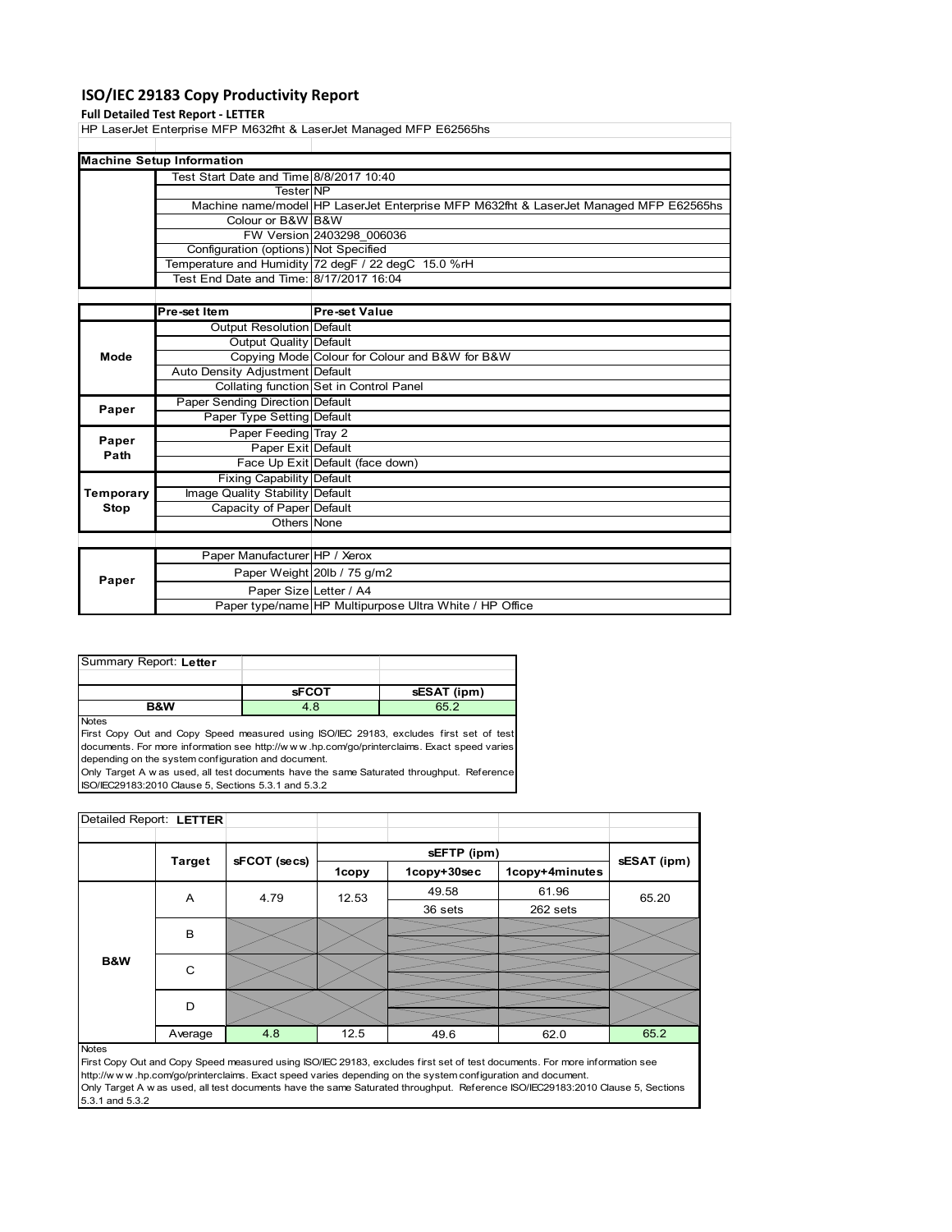## **ISO/IEC 29183 Copy Productivity Report**

#### **Full Detailed Test Report ‐ LETTER**

HP LaserJet Enterprise MFP M632fht & LaserJet Managed MFP E62565hs

| <b>Machine Setup Information</b>        |                                                                                       |  |  |  |
|-----------------------------------------|---------------------------------------------------------------------------------------|--|--|--|
| Test Start Date and Time 8/8/2017 10:40 |                                                                                       |  |  |  |
| <b>TesterINP</b>                        |                                                                                       |  |  |  |
|                                         | Machine name/model HP LaserJet Enterprise MFP M632fht & LaserJet Managed MFP E62565hs |  |  |  |
| Colour or B&W B&W                       |                                                                                       |  |  |  |
|                                         | FW Version 2403298 006036                                                             |  |  |  |
| Configuration (options) Not Specified   |                                                                                       |  |  |  |
|                                         | Temperature and Humidity 72 degF / 22 degC 15.0 %rH                                   |  |  |  |
| Test End Date and Time: 8/17/2017 16:04 |                                                                                       |  |  |  |

|           | <b>Pre-set Item</b>             | <b>Pre-set Value</b>                                    |
|-----------|---------------------------------|---------------------------------------------------------|
|           | Output Resolution Default       |                                                         |
|           | Output Quality Default          |                                                         |
| Mode      |                                 | Copying Mode Colour for Colour and B&W for B&W          |
|           | Auto Density Adjustment Default |                                                         |
|           |                                 | Collating function Set in Control Panel                 |
| Paper     | Paper Sending Direction Default |                                                         |
|           | Paper Type Setting Default      |                                                         |
| Paper     | Paper Feeding Tray 2            |                                                         |
| Path      | Paper Exit Default              |                                                         |
|           |                                 | Face Up Exit Default (face down)                        |
|           | Fixing Capability Default       |                                                         |
| Temporary | Image Quality Stability Default |                                                         |
| Stop      | Capacity of Paper Default       |                                                         |
|           | Others None                     |                                                         |
|           |                                 |                                                         |
|           | Paper Manufacturer HP / Xerox   |                                                         |
| Paper     |                                 | Paper Weight 20lb / 75 g/m2                             |
|           |                                 | Paper Size Letter / A4                                  |
|           |                                 | Paper type/name HP Multipurpose Ultra White / HP Office |

| Summary Report: Letter |              |             |
|------------------------|--------------|-------------|
|                        |              |             |
|                        | <b>SFCOT</b> | sESAT (ipm) |
| <b>R&amp;W</b>         | 4.8          | R5 2        |

Notes

First Copy Out and Copy Speed measured using ISO/IEC 29183, excludes first set of test documents. For more information see http://w w w .hp.com/go/printerclaims. Exact speed varies depending on the system configuration and document. Only Target A w as used, all test documents have the same Saturated throughput. Reference

ISO/IEC29183:2010 Clause 5, Sections 5.3.1 and 5.3.2

| Detailed Report: LETTER |               |              |       |             |                |             |
|-------------------------|---------------|--------------|-------|-------------|----------------|-------------|
|                         |               |              |       |             |                |             |
|                         | <b>Target</b> | sFCOT (secs) |       | sEFTP (ipm) |                | sESAT (ipm) |
|                         |               |              | 1copy | 1copy+30sec | 1copy+4minutes |             |
|                         | A             | 4.79         | 12.53 | 49.58       | 61.96          | 65.20       |
|                         |               |              |       | 36 sets     | 262 sets       |             |
|                         | B             |              |       |             |                |             |
|                         |               |              |       |             |                |             |
| B&W                     |               | C            |       |             |                |             |
|                         |               |              |       |             |                |             |
|                         | D             |              |       |             |                |             |
|                         |               |              |       |             |                |             |
|                         | Average       | 4.8          | 12.5  | 49.6        | 62.0           | 65.2        |

Notes

First Copy Out and Copy Speed measured using ISO/IEC 29183, excludes first set of test documents. For more information see http://w w w .hp.com/go/printerclaims. Exact speed varies depending on the system configuration and document. Only Target A w as used, all test documents have the same Saturated throughput. Reference ISO/IEC29183:2010 Clause 5, Sections 5.3.1 and 5.3.2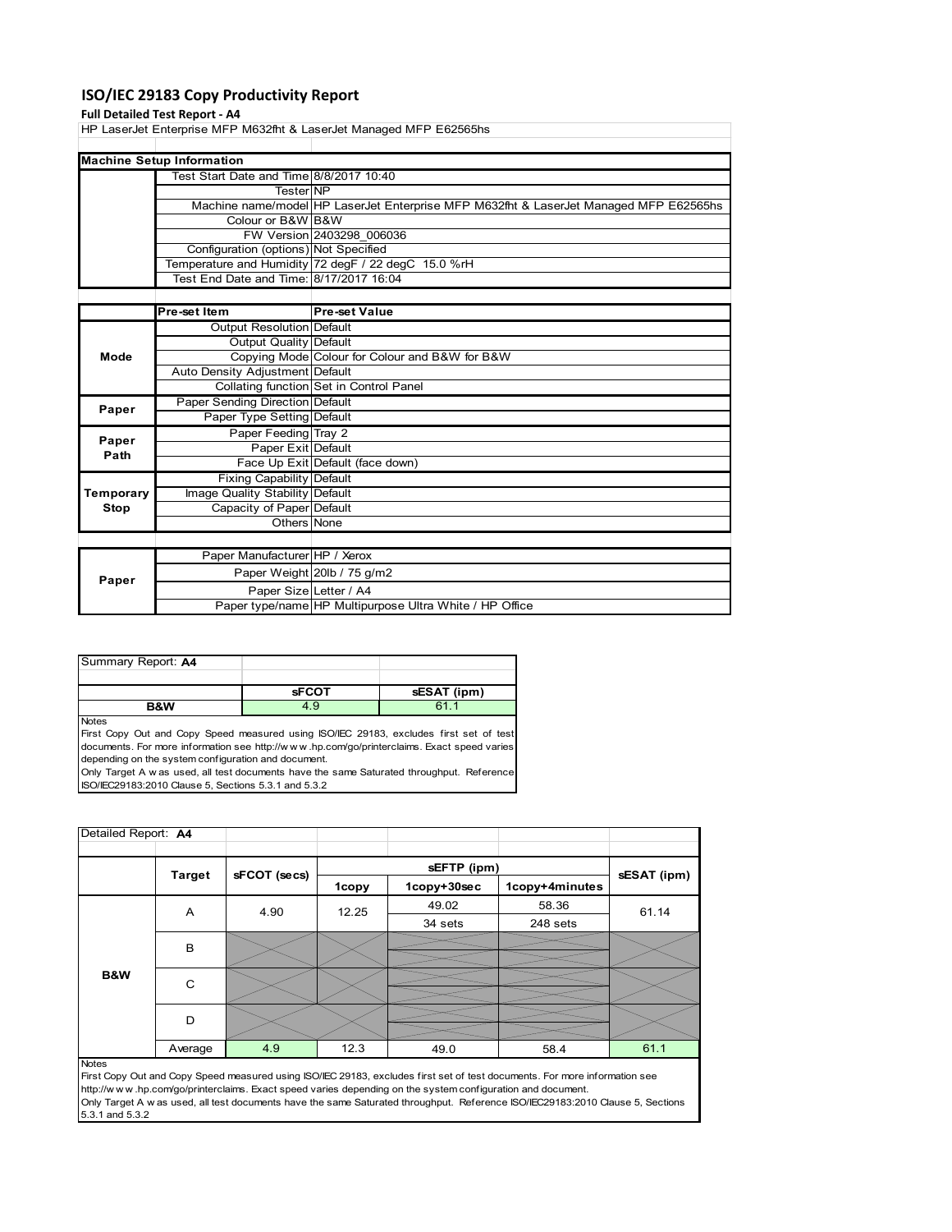### **ISO/IEC 29183 Copy Productivity Report**

#### **Full Detailed Test Report ‐ A4**

HP LaserJet Enterprise MFP M632fht & LaserJet Managed MFP E62565hs

| <b>Machine Setup Information</b>        |                                                                                       |
|-----------------------------------------|---------------------------------------------------------------------------------------|
| Test Start Date and Time 8/8/2017 10:40 |                                                                                       |
| <b>TesterINP</b>                        |                                                                                       |
|                                         | Machine name/model HP LaserJet Enterprise MFP M632fht & LaserJet Managed MFP E62565hs |
| Colour or B&W B&W                       |                                                                                       |
|                                         | FW Version 2403298 006036                                                             |
| Configuration (options) Not Specified   |                                                                                       |
|                                         | Temperature and Humidity 72 degF / 22 degC 15.0 %rH                                   |
| Test End Date and Time: 8/17/2017 16:04 |                                                                                       |
|                                         |                                                                                       |

|           | <b>Pre-set Item</b>             | <b>Pre-set Value</b>                                    |
|-----------|---------------------------------|---------------------------------------------------------|
|           | Output Resolution Default       |                                                         |
|           | Output Quality Default          |                                                         |
| Mode      |                                 | Copying Mode Colour for Colour and B&W for B&W          |
|           | Auto Density Adjustment Default |                                                         |
|           |                                 | Collating function Set in Control Panel                 |
| Paper     | Paper Sending Direction Default |                                                         |
|           | Paper Type Setting Default      |                                                         |
| Paper     | Paper Feeding Tray 2            |                                                         |
| Path      | Paper Exit Default              |                                                         |
|           |                                 | Face Up Exit Default (face down)                        |
|           | Fixing Capability Default       |                                                         |
| Temporary | Image Quality Stability Default |                                                         |
| Stop      | Capacity of Paper Default       |                                                         |
|           | Others None                     |                                                         |
|           |                                 |                                                         |
|           | Paper Manufacturer HP / Xerox   |                                                         |
| Paper     |                                 | Paper Weight 20lb / 75 g/m2                             |
|           | Paper Size Letter / A4          |                                                         |
|           |                                 | Paper type/name HP Multipurpose Ultra White / HP Office |

| <b>R&amp;W</b>     | 4.9          | 61          |
|--------------------|--------------|-------------|
|                    | <b>sFCOT</b> | sESAT (ipm) |
|                    |              |             |
| Summary Report: A4 |              |             |

Notes

First Copy Out and Copy Speed measured using ISO/IEC 29183, excludes first set of test documents. For more information see http://w w w .hp.com/go/printerclaims. Exact speed varies depending on the system configuration and document. Only Target A w as used, all test documents have the same Saturated throughput. Reference

ISO/IEC29183:2010 Clause 5, Sections 5.3.1 and 5.3.2

| Detailed Report: A4 |               |              |       |             |                |             |
|---------------------|---------------|--------------|-------|-------------|----------------|-------------|
|                     |               |              |       | sEFTP (ipm) |                |             |
|                     | <b>Target</b> | sFCOT (secs) | 1copy | 1copy+30sec | 1copy+4minutes | sESAT (ipm) |
|                     | A             | 4.90         | 12.25 | 49.02       | 58.36          | 61.14       |
|                     |               |              |       | 34 sets     | 248 sets       |             |
| B&W                 | B             |              |       |             |                |             |
|                     | C             |              |       |             |                |             |
|                     | D             |              |       |             |                |             |
|                     | Average       | 4.9          | 12.3  | 49.0        | 58.4           | 61.1        |
| <b>Notes</b>        |               |              |       |             |                |             |

First Copy Out and Copy Speed measured using ISO/IEC 29183, excludes first set of test documents. For more information see http://w w w .hp.com/go/printerclaims. Exact speed varies depending on the system configuration and document. Only Target A w as used, all test documents have the same Saturated throughput. Reference ISO/IEC29183:2010 Clause 5, Sections 5.3.1 and 5.3.2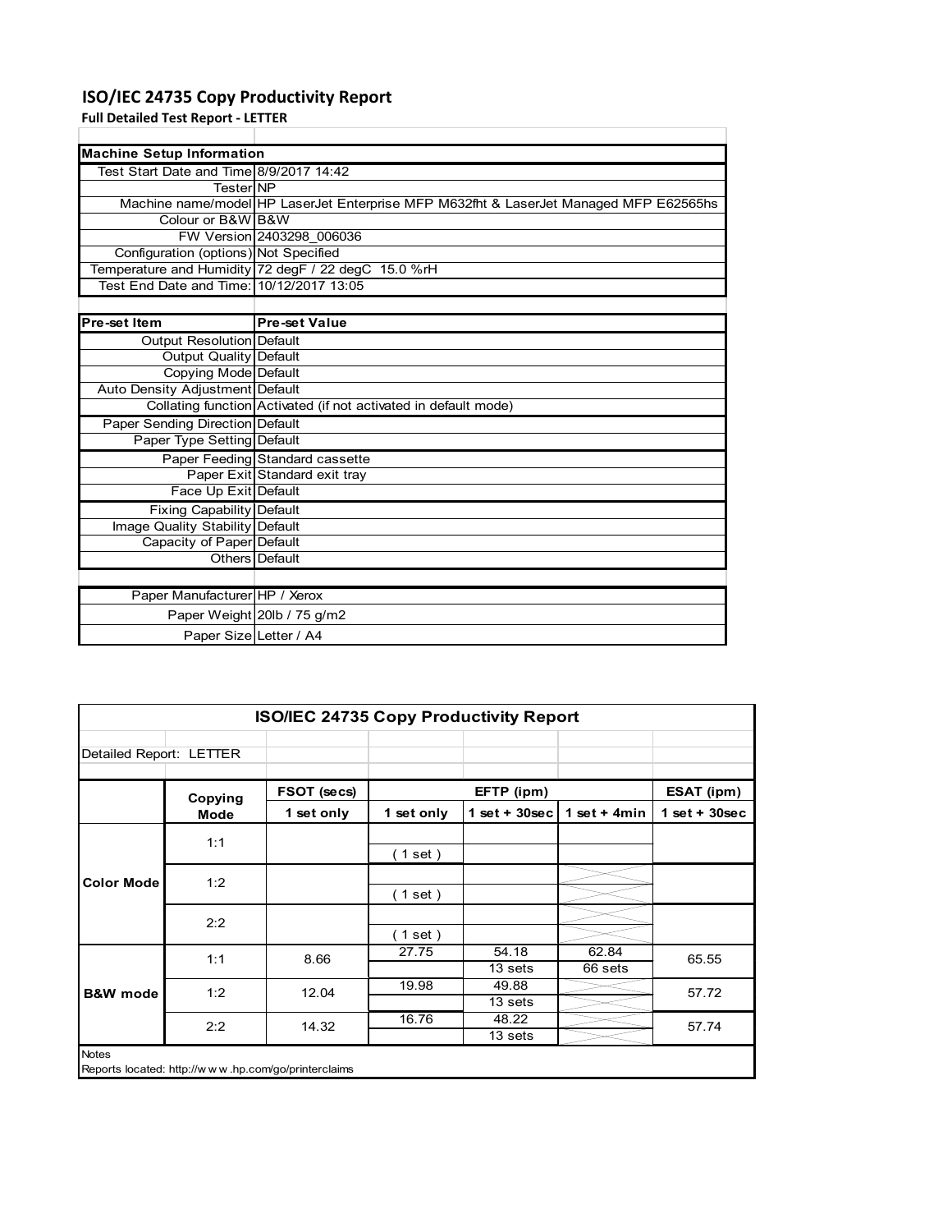# **ISO/IEC 24735 Copy Productivity Report**

**Full Detailed Test Report ‐ LETTER**

| <b>Machine Setup Information</b>         |                                                                                       |
|------------------------------------------|---------------------------------------------------------------------------------------|
| Test Start Date and Time 8/9/2017 14:42  |                                                                                       |
| TesterINP                                |                                                                                       |
|                                          | Machine name/model HP LaserJet Enterprise MFP M632fht & LaserJet Managed MFP E62565hs |
| Colour or B&W B&W                        |                                                                                       |
|                                          | FW Version 2403298 006036                                                             |
| Configuration (options) Not Specified    |                                                                                       |
|                                          | Temperature and Humidity 72 degF / 22 degC 15.0 %rH                                   |
| Test End Date and Time: 10/12/2017 13:05 |                                                                                       |
|                                          |                                                                                       |
|                                          |                                                                                       |

| Pre-set Item                     | <b>Pre-set Value</b>                                            |
|----------------------------------|-----------------------------------------------------------------|
| <b>Output Resolution Default</b> |                                                                 |
| Output Quality Default           |                                                                 |
| Copying Mode Default             |                                                                 |
| Auto Density Adjustment Default  |                                                                 |
|                                  | Collating function Activated (if not activated in default mode) |
| Paper Sending Direction Default  |                                                                 |
| Paper Type Setting Default       |                                                                 |
|                                  | Paper Feeding Standard cassette                                 |
|                                  | Paper Exit Standard exit tray                                   |
| Face Up Exit Default             |                                                                 |
| Fixing Capability Default        |                                                                 |
| Image Quality Stability Default  |                                                                 |
| Capacity of Paper Default        |                                                                 |
|                                  | Others Default                                                  |
|                                  |                                                                 |
| Paper Manufacturer HP / Xerox    |                                                                 |
|                                  | Paper Weight 20lb / 75 g/m2                                     |
| Paper Size Letter / A4           |                                                                 |

|                         | <b>ISO/IEC 24735 Copy Productivity Report</b> |                                                     |            |                  |                  |                 |  |  |  |
|-------------------------|-----------------------------------------------|-----------------------------------------------------|------------|------------------|------------------|-----------------|--|--|--|
| Detailed Report: LETTER |                                               |                                                     |            |                  |                  |                 |  |  |  |
|                         | Copying                                       | FSOT (secs)                                         |            | EFTP (ipm)       |                  | ESAT (ipm)      |  |  |  |
|                         | Mode                                          | 1 set only                                          | 1 set only | $1$ set + 30sec  | 1 set $+$ 4 min  | $1$ set + 30sec |  |  |  |
|                         | 1:1                                           |                                                     | (1 set)    |                  |                  |                 |  |  |  |
| <b>Color Mode</b>       | 1:2                                           |                                                     | (1 set)    |                  |                  |                 |  |  |  |
|                         | 2:2                                           |                                                     | (1 set)    |                  |                  |                 |  |  |  |
|                         | 1:1                                           | 8.66                                                | 27.75      | 54.18<br>13 sets | 62.84<br>66 sets | 65.55           |  |  |  |
| <b>B&amp;W</b> mode     | 1:2                                           | 12.04                                               | 19.98      | 49.88<br>13 sets |                  | 57.72           |  |  |  |
|                         | 2:2                                           | 14.32                                               | 16.76      | 48.22<br>13 sets |                  | 57.74           |  |  |  |
| <b>Notes</b>            |                                               | Reports located: http://www.hp.com/go/printerclaims |            |                  |                  |                 |  |  |  |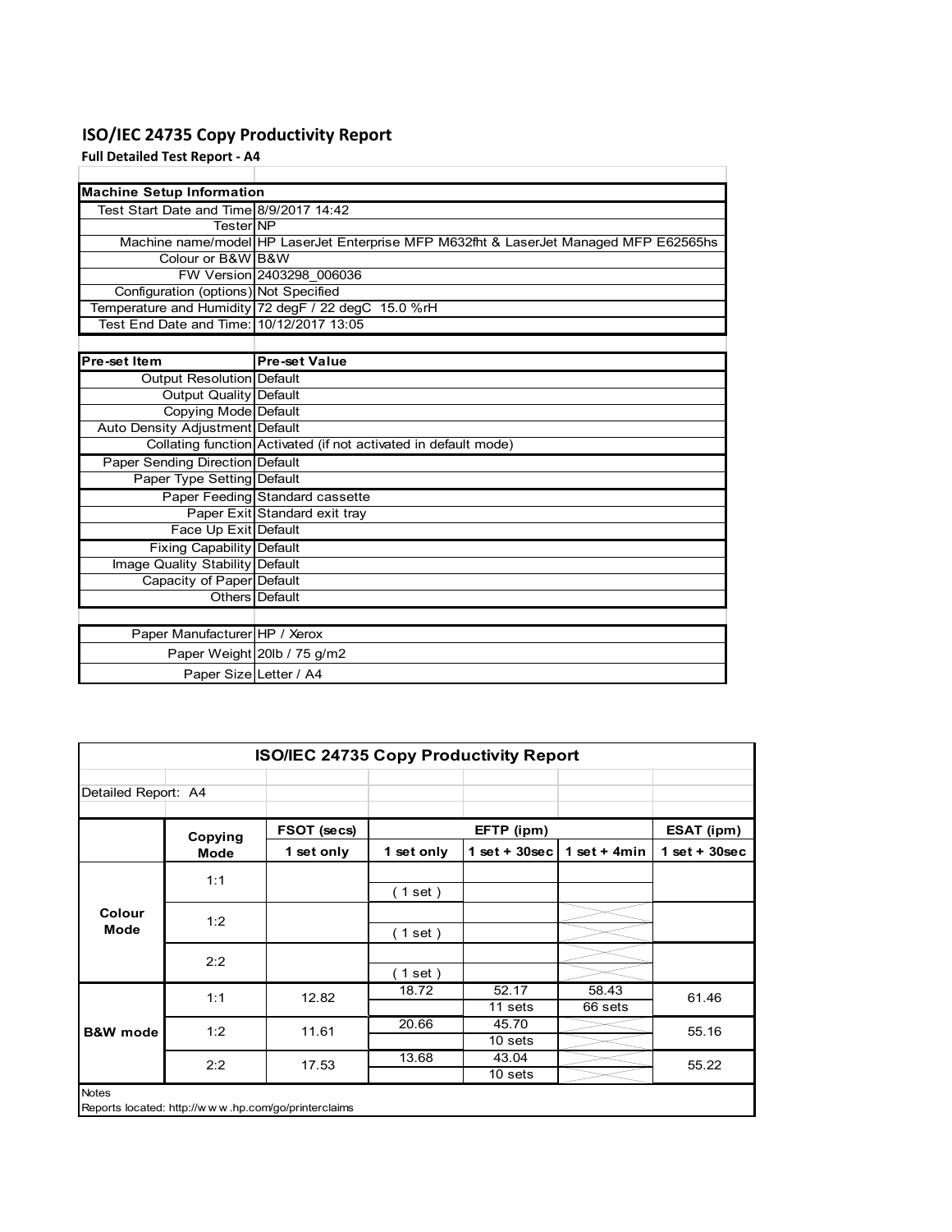# **ISO/IEC 24735 Copy Productivity Report**

**Full Detailed Test Report ‐ A4**

| <b>Machine Setup Information</b>         |                                                                                       |
|------------------------------------------|---------------------------------------------------------------------------------------|
| Test Start Date and Time 8/9/2017 14:42  |                                                                                       |
| TesterINP                                |                                                                                       |
|                                          | Machine name/model HP LaserJet Enterprise MFP M632fht & LaserJet Managed MFP E62565hs |
| Colour or B&W B&W                        |                                                                                       |
|                                          | FW Version 2403298 006036                                                             |
| Configuration (options) Not Specified    |                                                                                       |
|                                          | Temperature and Humidity 72 degF / 22 degC 15.0 %rH                                   |
| Test End Date and Time: 10/12/2017 13:05 |                                                                                       |
|                                          |                                                                                       |
| Pre-set Item                             | <b>Pre-set Value</b>                                                                  |
| Output Resolution Default                |                                                                                       |
| <b>Output Quality Default</b>            |                                                                                       |
| <b>Copying Mode Default</b>              |                                                                                       |
| Auto Density Adjustment Default          |                                                                                       |
|                                          | Collating function Activated (if not activated in default mode)                       |
| Paper Sending Direction Default          |                                                                                       |
| Paper Type Setting Default               |                                                                                       |
|                                          | Paper Feeding Standard cassette                                                       |
|                                          | Paper Exit Standard exit tray                                                         |
| Face Up Exit Default                     |                                                                                       |
| <b>Fixing Capability Default</b>         |                                                                                       |
| Image Quality Stability Default          |                                                                                       |
| Capacity of Paper Default                |                                                                                       |
|                                          | Others Default                                                                        |
|                                          |                                                                                       |
| Paper Manufacturer HP / Xerox            |                                                                                       |
|                                          | Paper Weight 20lb / 75 g/m2                                                           |
| Paper Size Letter / A4                   |                                                                                       |
|                                          |                                                                                       |

| ISO/IEC 24735 Copy Productivity Report |             |             |            |                  |                  |                 |  |  |
|----------------------------------------|-------------|-------------|------------|------------------|------------------|-----------------|--|--|
| Detailed Report: A4                    |             |             |            |                  |                  |                 |  |  |
|                                        | Copying     | FSOT (secs) |            | EFTP (ipm)       |                  | ESAT (ipm)      |  |  |
|                                        | <b>Mode</b> | 1 set only  | 1 set only | $1$ set + 30sec  | 1 set + $4min$   | $1$ set + 30sec |  |  |
|                                        | 1:1         |             | $1$ set)   |                  |                  |                 |  |  |
| Colour<br>Mode                         | 1:2         |             | $1$ set)   |                  |                  |                 |  |  |
|                                        | 2:2         |             | $1$ set)   |                  |                  |                 |  |  |
|                                        | 1:1         | 12.82       | 18.72      | 52.17<br>11 sets | 58.43<br>66 sets | 61.46           |  |  |
| <b>B&amp;W</b> mode                    | 1:2         | 11.61       | 20.66      | 45.70<br>10 sets |                  | 55.16           |  |  |
|                                        | 2:2         | 17.53       | 13.68      | 43.04<br>10 sets |                  | 55.22           |  |  |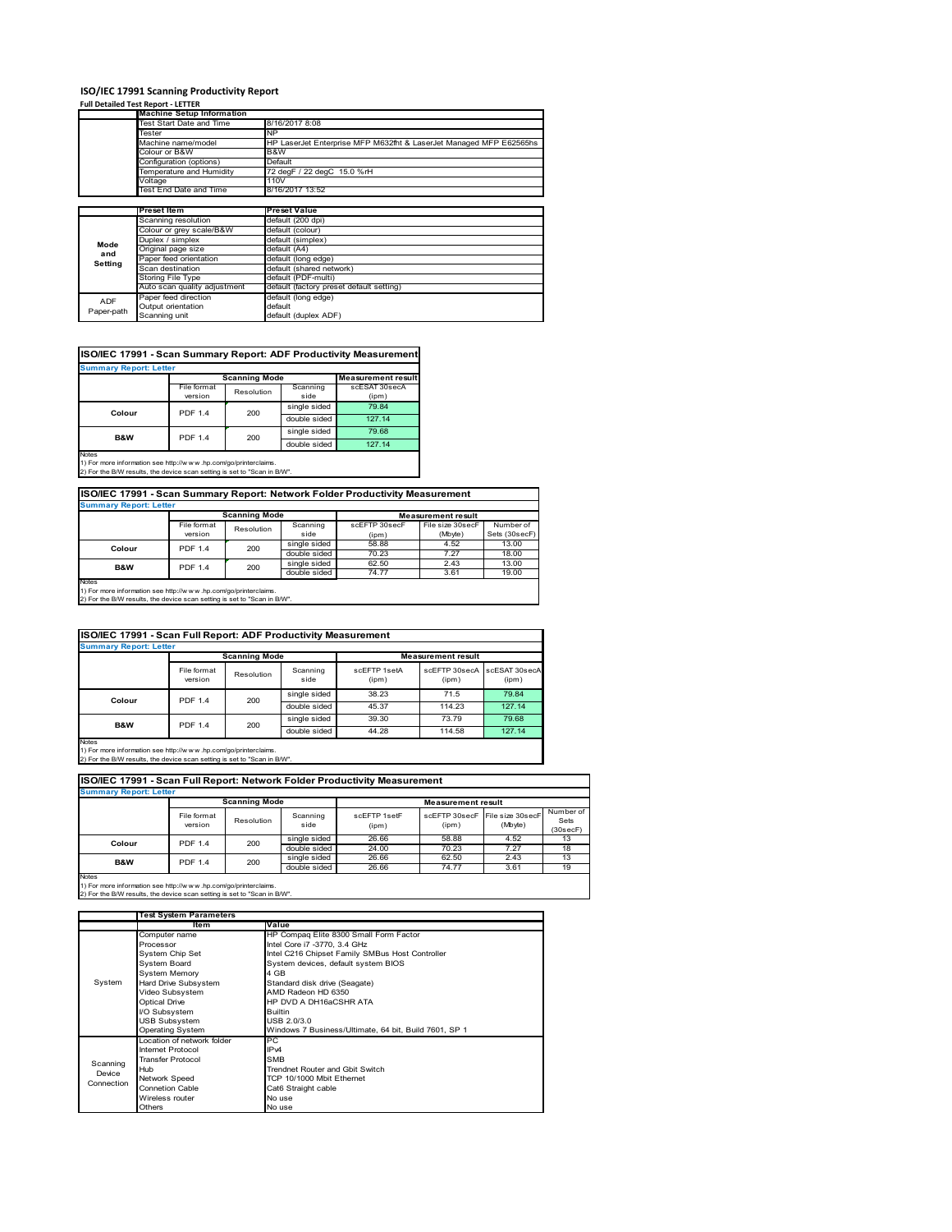### **ISO/IEC 17991 Scanning Productivity Report**

#### **Full Detailed Test Report ‐ LETTER**

|            | <b>Machine Setup Information</b> |                                                                    |  |  |  |  |
|------------|----------------------------------|--------------------------------------------------------------------|--|--|--|--|
|            | Test Start Date and Time         | 8/16/2017 8:08                                                     |  |  |  |  |
|            | Tester                           | NΡ                                                                 |  |  |  |  |
|            | Machine name/model               | HP LaserJet Enterprise MFP M632fht & LaserJet Managed MFP E62565hs |  |  |  |  |
|            | Colour or B&W                    | B&W                                                                |  |  |  |  |
|            | Configuration (options)          | Default                                                            |  |  |  |  |
|            | Temperature and Humidity         | 72 degF / 22 degC 15.0 %rH                                         |  |  |  |  |
|            | Voltage                          | 110V                                                               |  |  |  |  |
|            | Test End Date and Time           | 8/16/2017 13:52                                                    |  |  |  |  |
|            |                                  |                                                                    |  |  |  |  |
|            | <b>Preset Item</b>               | <b>Preset Value</b>                                                |  |  |  |  |
|            | Scanning resolution              | default (200 dpi)                                                  |  |  |  |  |
|            | Colour or grey scale/B&W         | default (colour)                                                   |  |  |  |  |
| Mode       | Duplex / simplex                 | default (simplex)                                                  |  |  |  |  |
| and        | Original page size               | default (A4)                                                       |  |  |  |  |
| Setting    | Paper feed orientation           | default (long edge)                                                |  |  |  |  |
|            | Scan destination                 | default (shared network)                                           |  |  |  |  |
|            | Storing File Type                | default (PDF-multi)                                                |  |  |  |  |
|            | Auto scan quality adjustment     | default (factory preset default setting)                           |  |  |  |  |
| <b>ADF</b> | Paper feed direction             | default (long edge)                                                |  |  |  |  |
|            | Output orientation               | default                                                            |  |  |  |  |
| Paper-path | Scanning unit                    | default (duplex ADF)                                               |  |  |  |  |

### **ISO/IEC 17991 - Scan Summary Report: ADF Productivity Measurement**

| <b>Summary Report: Letter</b> |                           |                      |              |                           |  |  |  |
|-------------------------------|---------------------------|----------------------|--------------|---------------------------|--|--|--|
|                               |                           | <b>Scanning Mode</b> |              | <b>Measurement result</b> |  |  |  |
|                               | File format<br>Resolution |                      | Scanning     | scESAT 30secA             |  |  |  |
|                               | version                   |                      | side         | (ipm)                     |  |  |  |
| Colour                        | <b>PDF 1.4</b>            | 200                  | single sided | 79.84                     |  |  |  |
|                               |                           |                      | double sided | 127.14                    |  |  |  |
| <b>B&amp;W</b>                | <b>PDF 1.4</b>            | 200                  | single sided | 79.68                     |  |  |  |
|                               |                           |                      | double sided | 127.14                    |  |  |  |
| <b>Notes</b>                  |                           |                      |              |                           |  |  |  |

1) For more information see http://w w w .hp.com/go/printerclaims. 2) For the B/W results, the device scan setting is set to "Scan in B/W".

### **ISO/IEC 17991 - Scan Summary Report: Network Folder Productivity Measurement**

| <b>Summary Report: Letter</b> |                |                      |              |                           |                  |               |  |  |
|-------------------------------|----------------|----------------------|--------------|---------------------------|------------------|---------------|--|--|
|                               |                | <b>Scanning Mode</b> |              | <b>Measurement result</b> |                  |               |  |  |
|                               | File format    | Resolution           | Scanning     | scEFTP 30secF             | File size 30secF | Number of     |  |  |
|                               | version        |                      | side         | (ipm)                     | (Mbyte)          | Sets (30secF) |  |  |
| Colour                        | <b>PDF 1.4</b> | 200                  | single sided | 58.88                     | 4.52             | 13.00         |  |  |
|                               |                |                      | double sided | 70.23                     | 7.27             | 18.00         |  |  |
| B&W                           | <b>PDF 1.4</b> | 200                  | single sided | 62.50                     | 2.43             | 13.00         |  |  |
|                               |                |                      | double sided | 74.77                     | 3.61             | 19.00         |  |  |
| Notes                         |                |                      |              |                           |                  |               |  |  |

Notes 1) For more information see http://w w w .hp.com/go/printerclaims. 2) For the B/W results, the device scan setting is set to "Scan in B/W".

| ISO/IEC 17991 - Scan Full Report: ADF Productivity Measurement |                        |            |                  |                       |                        |                        |  |  |
|----------------------------------------------------------------|------------------------|------------|------------------|-----------------------|------------------------|------------------------|--|--|
| <b>Summary Report: Letter</b>                                  |                        |            |                  |                       |                        |                        |  |  |
| <b>Scanning Mode</b><br><b>Measurement result</b>              |                        |            |                  |                       |                        |                        |  |  |
|                                                                | File format<br>version | Resolution | Scanning<br>side | scFFTP 1setA<br>(ipm) | scEFTP 30secA<br>(ipm) | scESAT 30secA<br>(ipm) |  |  |
| Colour                                                         | <b>PDF 1.4</b><br>200  |            | single sided     | 38.23                 | 71.5                   | 79.84                  |  |  |
|                                                                |                        |            | double sided     | 45.37                 | 114.23                 | 127.14                 |  |  |
| B&W                                                            | <b>PDF 1.4</b>         | 200        | single sided     | 39.30                 | 73.79                  | 79.68                  |  |  |
|                                                                |                        |            | double sided     | 44.28                 | 114.58                 | 127.14                 |  |  |

Notes 1) For more information see http://w w w .hp.com/go/printerclaims. 2) For the B/W results, the device scan setting is set to "Scan in B/W".

| ISO/IEC 17991 - Scan Full Report: Network Folder Productivity Measurement |                        |            |                  |                       |       |                                           |                               |  |  |
|---------------------------------------------------------------------------|------------------------|------------|------------------|-----------------------|-------|-------------------------------------------|-------------------------------|--|--|
| <b>Summary Report: Letter</b>                                             |                        |            |                  |                       |       |                                           |                               |  |  |
| <b>Scanning Mode</b><br><b>Measurement result</b>                         |                        |            |                  |                       |       |                                           |                               |  |  |
|                                                                           | File format<br>version | Resolution | Scanning<br>side | scFFTP 1setF<br>(ipm) | (ipm) | scEFTP 30secF File size 30secF<br>(Mbyte) | Number of<br>Sets<br>(30secF) |  |  |
| Colour                                                                    | <b>PDF 1.4</b>         | 200        | single sided     | 26.66                 | 58.88 | 4.52                                      | 13                            |  |  |
|                                                                           |                        |            | double sided     | 24.00                 | 70.23 | 7.27                                      | 18                            |  |  |
| <b>B&amp;W</b>                                                            | <b>PDF 1.4</b>         | 200        | single sided     | 26.66                 | 62.50 | 2.43                                      | 13                            |  |  |
|                                                                           |                        |            | double sided     | 26.66                 | 74.77 | 3.61                                      | 19                            |  |  |
| <b>Notes</b>                                                              |                        |            |                  |                       |       |                                           |                               |  |  |

Notes 1) For more information see http://w w w .hp.com/go/printerclaims. 2) For the B/W results, the device scan setting is set to "Scan in B/W".

|            | <b>Test System Parameters</b> |                                                       |  |
|------------|-------------------------------|-------------------------------------------------------|--|
|            | <b>Item</b>                   | Value                                                 |  |
|            | Computer name                 | HP Compaq Elite 8300 Small Form Factor                |  |
|            | Processor                     | Intel Core i7 -3770, 3.4 GHz                          |  |
|            | System Chip Set               | Intel C216 Chipset Family SMBus Host Controller       |  |
|            | <b>System Board</b>           | System devices, default system BIOS                   |  |
|            | <b>System Memory</b>          | 4 GB                                                  |  |
| System     | Hard Drive Subsystem          | Standard disk drive (Seagate)                         |  |
|            | Video Subsystem               | AMD Radeon HD 6350                                    |  |
|            | Optical Drive                 | HP DVD A DH16aCSHR ATA                                |  |
|            | I/O Subsystem                 | <b>Builtin</b>                                        |  |
|            | <b>USB Subsystem</b>          | USB 2.0/3.0                                           |  |
|            | Operating System              | Windows 7 Business/Ultimate, 64 bit, Build 7601, SP 1 |  |
|            | Location of network folder    | PC.                                                   |  |
|            | Internet Protocol             | IP <sub>v4</sub>                                      |  |
| Scanning   | <b>Transfer Protocol</b>      | <b>SMB</b>                                            |  |
| Device     | Hub                           | Trendnet Router and Gbit Switch                       |  |
| Connection | Network Speed                 | TCP 10/1000 Mbit Ethernet                             |  |
|            | <b>Connetion Cable</b>        | Cat6 Straight cable                                   |  |
|            | Wireless router               | No use                                                |  |
|            | Others                        | No use                                                |  |